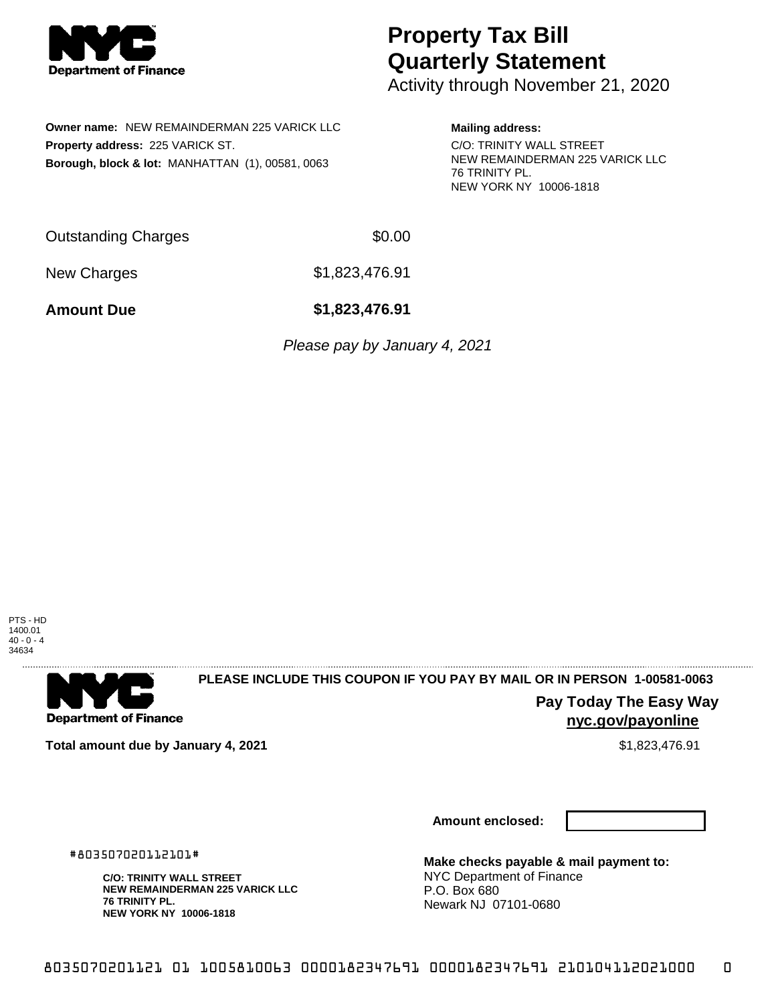

# **Property Tax Bill Quarterly Statement**

Activity through November 21, 2020

**Owner name:** NEW REMAINDERMAN 225 VARICK LLC **Property address:** 225 VARICK ST. **Borough, block & lot:** MANHATTAN (1), 00581, 0063

### **Mailing address:**

C/O: TRINITY WALL STREET NEW REMAINDERMAN 225 VARICK LLC 76 TRINITY PL. NEW YORK NY 10006-1818

Outstanding Charges \$0.00

New Charges \$1,823,476.91

**Amount Due \$1,823,476.91**

Please pay by January 4, 2021

PTS - HD 1400.01  $40 - 0 - 4$ 34634



## **PLEASE INCLUDE THIS COUPON IF YOU PAY BY MAIL OR IN PERSON 1-00581-0063**

**nyc.gov/payonline**

**Pay Today The Easy Way**

**Total amount due by January 4, 2021 \$1,823,476.91** \$1,823,476.91

**Amount enclosed:**

#803507020112101#

**C/O: TRINITY WALL STREET NEW REMAINDERMAN 225 VARICK LLC 76 TRINITY PL. NEW YORK NY 10006-1818**

**Make checks payable & mail payment to:** NYC Department of Finance P.O. Box 680 Newark NJ 07101-0680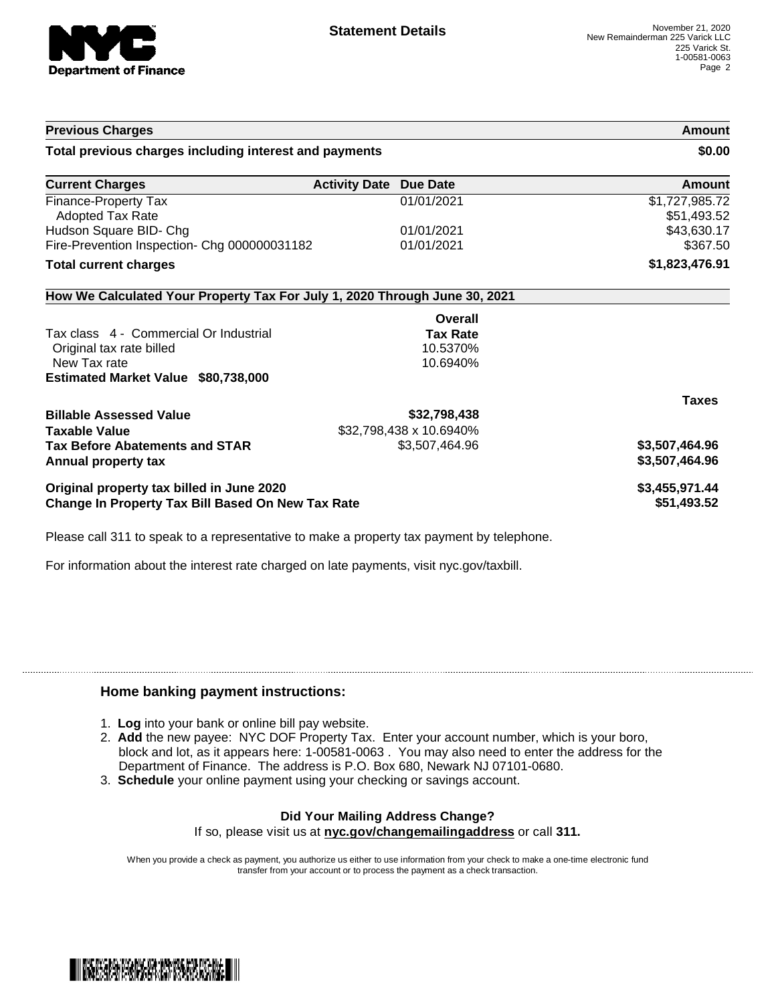

| <b>Previous Charges</b>                                                    |                                         | Amount                        |
|----------------------------------------------------------------------------|-----------------------------------------|-------------------------------|
| Total previous charges including interest and payments                     |                                         | \$0.00                        |
| <b>Current Charges</b>                                                     | <b>Due Date</b><br><b>Activity Date</b> | Amount                        |
| Finance-Property Tax<br><b>Adopted Tax Rate</b>                            | 01/01/2021                              | \$1,727,985.72<br>\$51,493.52 |
| Hudson Square BID- Chg                                                     | 01/01/2021                              | \$43,630.17                   |
| Fire-Prevention Inspection- Chg 000000031182                               | 01/01/2021                              | \$367.50                      |
| <b>Total current charges</b>                                               |                                         | \$1,823,476.91                |
| How We Calculated Your Property Tax For July 1, 2020 Through June 30, 2021 |                                         |                               |
|                                                                            | Overall                                 |                               |
| Tax class 4 - Commercial Or Industrial                                     | <b>Tax Rate</b>                         |                               |
| Original tax rate billed                                                   | 10.5370%                                |                               |
| New Tax rate                                                               | 10.6940%                                |                               |
| Estimated Market Value \$80,738,000                                        |                                         |                               |
|                                                                            |                                         | <b>Taxes</b>                  |
| <b>Billable Assessed Value</b>                                             | \$32,798,438                            |                               |
| <b>Taxable Value</b>                                                       | \$32,798,438 x 10.6940%                 |                               |
| <b>Tax Before Abatements and STAR</b>                                      | \$3,507,464.96                          | \$3,507,464.96                |
| Annual property tax                                                        |                                         | \$3,507,464.96                |
| Original property tax billed in June 2020                                  |                                         | \$3,455,971.44                |
| <b>Change In Property Tax Bill Based On New Tax Rate</b>                   |                                         | \$51,493.52                   |

Please call 311 to speak to a representative to make a property tax payment by telephone.

For information about the interest rate charged on late payments, visit nyc.gov/taxbill.

### **Home banking payment instructions:**

- 1. **Log** into your bank or online bill pay website.
- 2. **Add** the new payee: NYC DOF Property Tax. Enter your account number, which is your boro, block and lot, as it appears here: 1-00581-0063 . You may also need to enter the address for the Department of Finance. The address is P.O. Box 680, Newark NJ 07101-0680.
- 3. **Schedule** your online payment using your checking or savings account.

#### **Did Your Mailing Address Change?** If so, please visit us at **nyc.gov/changemailingaddress** or call **311.**

When you provide a check as payment, you authorize us either to use information from your check to make a one-time electronic fund transfer from your account or to process the payment as a check transaction.